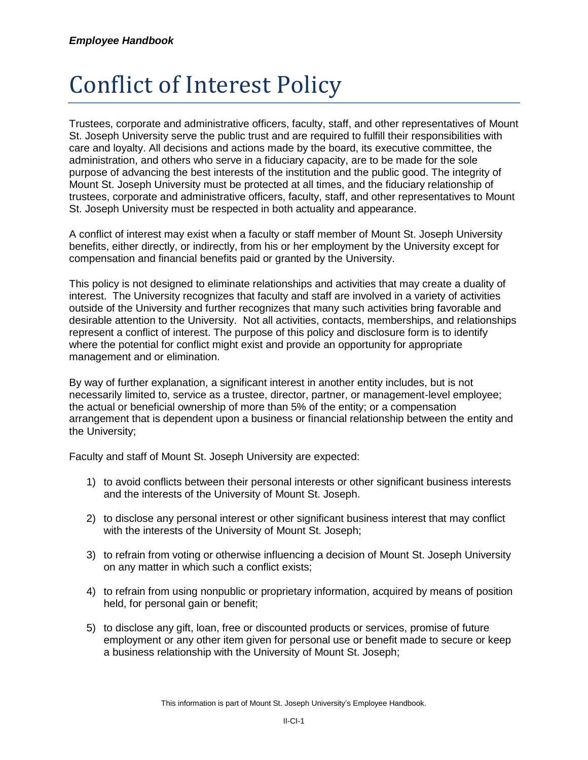## Conflict of Interest Policy

Trustees, corporate and administrative officers, faculty, staff, and other representatives of Mount St. Joseph University serve the public trust and are required to fulfill their responsibilities with care and loyalty. All decisions and actions made by the board, its executive committee, the administration, and others who serve in a fiduciary capacity, are to be made for the sole purpose of advancing the best interests of the institution and the public good. The integrity of Mount St. Joseph University must be protected at all times, and the fiduciary relationship of trustees, corporate and administrative officers, faculty, staff, and other representatives to Mount St. Joseph University must be respected in both actuality and appearance.

A conflict of interest may exist when a faculty or staff member of Mount St. Joseph University benefits, either directly, or indirectly, from his or her employment by the University except for compensation and financial benefits paid or granted by the University.

This policy is not designed to eliminate relationships and activities that may create a duality of interest. The University recognizes that faculty and staff are involved in a variety of activities outside of the University and further recognizes that many such activities bring favorable and desirable attention to the University. Not all activities, contacts, memberships, and relationships represent a conflict of interest. The purpose of this policy and disclosure form is to identify where the potential for conflict might exist and provide an opportunity for appropriate management and or elimination.

By way of further explanation, a significant interest in another entity includes, but is not necessarily limited to, service as a trustee, director, partner, or management-level employee; the actual or beneficial ownership of more than 5% of the entity; or a compensation arrangement that is dependent upon a business or financial relationship between the entity and the University;

Faculty and staff of Mount St. Joseph University are expected:

- 1) to avoid conflicts between their personal interests or other significant business interests and the interests of the University of Mount St. Joseph.
- 2) to disclose any personal interest or other significant business interest that may conflict with the interests of the University of Mount St. Joseph;
- 3) to refrain from voting or otherwise influencing a decision of Mount St. Joseph University on any matter in which such a conflict exists;
- 4) to refrain from using nonpublic or proprietary information, acquired by means of position held, for personal gain or benefit;
- 5) to disclose any gift, loan, free or discounted products or services, promise of future employment or any other item given for personal use or benefit made to secure or keep a business relationship with the University of Mount St. Joseph;